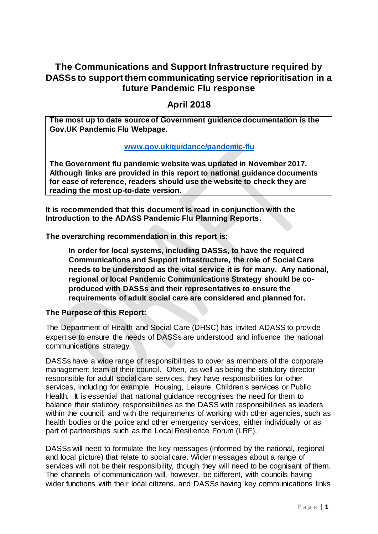# **The Communications and Support Infrastructure required by DASSs to support them communicating service reprioritisation in a future Pandemic Flu response**

# **April 2018**

**The most up to date source of Government guidance documentation is the Gov.UK Pandemic Flu Webpage.**

## **[www.gov.uk/guidance/pandemic-flu](http://www.gov.uk/guidance/pandemic-flu)**

**The Government flu pandemic website was updated in November 2017. Although links are provided in this report to national guidance documents for ease of reference, readers should use the website to check they are reading the most up-to-date version.**

**It is recommended that this document is read in conjunction with the Introduction to the ADASS Pandemic Flu Planning Reports.**

**The overarching recommendation in this report is:**

**In order for local systems, including DASSs, to have the required Communications and Support infrastructure, the role of Social Care needs to be understood as the vital service it is for many. Any national, regional or local Pandemic Communications Strategy should be coproduced with DASSs and their representatives to ensure the requirements of adult social care are considered and planned for.** 

#### **The Purpose of this Report:**

The Department of Health and Social Care (DHSC) has invited ADASS to provide expertise to ensure the needs of DASSs are understood and influence the national communications strategy.

DASSs have a wide range of responsibilities to cover as members of the corporate management team of their council. Often, as well as being the statutory director responsible for adult social care services, they have responsibilities for other services, including for example, Housing, Leisure, Children's services or Public Health. It is essential that national guidance recognises the need for them to balance their statutory responsibilities as the DASS with responsibilities as leaders within the council, and with the requirements of working with other agencies, such as health bodies or the police and other emergency services, either individually or as part of partnerships such as the Local Resilience Forum (LRF).

DASSs will need to formulate the key messages (informed by the national, regional and local picture) that relate to social care. Wider messages about a range of services will not be their responsibility, though they will need to be cognisant of them. The channels of communication will, however, be different, with councils having wider functions with their local citizens, and DASSs having key communications links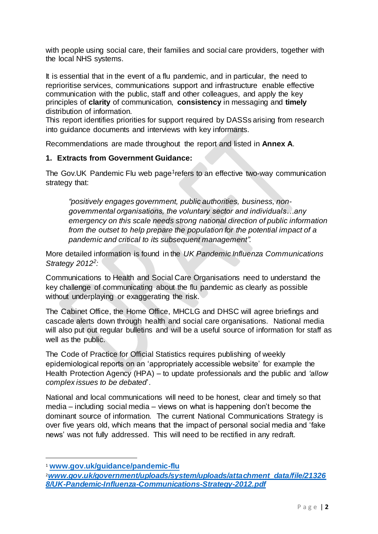with people using social care, their families and social care providers, together with the local NHS systems.

It is essential that in the event of a flu pandemic, and in particular, the need to reprioritise services, communications support and infrastructure enable effective communication with the public, staff and other colleagues, and apply the key principles of **clarity** of communication, **consistency** in messaging and **timely**  distribution of information.

This report identifies priorities for support required by DASSs arising from research into guidance documents and interviews with key informants.

Recommendations are made throughout the report and listed in **Annex A**.

## **1. Extracts from Government Guidance:**

The Gov.UK Pandemic Flu web page<sup>1</sup>refers to an effective two-way communication strategy that:

*"positively engages government, public authorities, business, nongovernmental organisations, the voluntary sector and individuals…any emergency on this scale needs strong national direction of public information from the outset to help prepare the population for the potential impact of a pandemic and critical to its subsequent management".*

More detailed information is found in the *UK Pandemic Influenza Communications Strategy 2012<sup>2</sup> :* 

Communications to Health and Social Care Organisations need to understand the key challenge of communicating about the flu pandemic as clearly as possible without underplaying or exaggerating the risk.

The Cabinet Office, the Home Office, MHCLG and DHSC will agree briefings and cascade alerts down through health and social care organisations. National media will also put out regular bulletins and will be a useful source of information for staff as well as the public.

The Code of Practice for Official Statistics requires publishing of weekly epidemiological reports on an 'appropriately accessible website' for example the Health Protection Agency (HPA) – to update professionals and the public and *'allow complex issues to be debated*'.

National and local communications will need to be honest, clear and timely so that media – including social media – views on what is happening don't become the dominant source of information. The current National Communications Strategy is over five years old, which means that the impact of personal social media and 'fake news' was not fully addressed. This will need to be rectified in any redraft.

 $\overline{a}$ 

<sup>1</sup> **[www.gov.uk/guidance/pandemic-flu](http://www.gov.uk/guidance/pandemic-flu)**

<sup>2</sup>*[www.gov.uk/government/uploads/system/uploads/attachment\\_data/file/21326](http://www.gov.uk/government/uploads/system/uploads/attachment_data/file/213268/UK-Pandemic-Influenza-Communications-Strategy-2012.pdf) [8/UK-Pandemic-Influenza-Communications-Strategy-2012.pdf](http://www.gov.uk/government/uploads/system/uploads/attachment_data/file/213268/UK-Pandemic-Influenza-Communications-Strategy-2012.pdf)*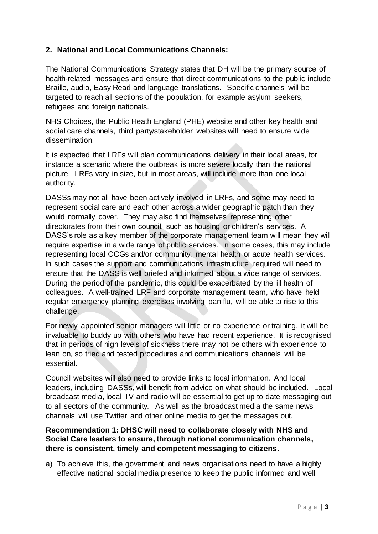## **2. National and Local Communications Channels:**

The National Communications Strategy states that DH will be the primary source of health-related messages and ensure that direct communications to the public include Braille, audio, Easy Read and language translations. Specific channels will be targeted to reach all sections of the population, for example asylum seekers, refugees and foreign nationals.

NHS Choices, the Public Heath England (PHE) website and other key health and social care channels, third party/stakeholder websites will need to ensure wide dissemination.

It is expected that LRFs will plan communications delivery in their local areas, for instance a scenario where the outbreak is more severe locally than the national picture. LRFs vary in size, but in most areas, will include more than one local authority.

DASSs may not all have been actively involved in LRFs, and some may need to represent social care and each other across a wider geographic patch than they would normally cover. They may also find themselves representing other directorates from their own council, such as housing or children's services. A DASS's role as a key member of the corporate management team will mean they will require expertise in a wide range of public services. In some cases, this may include representing local CCGs and/or community, mental health or acute health services. In such cases the support and communications infrastructure required will need to ensure that the DASS is well briefed and informed about a wide range of services. During the period of the pandemic, this could be exacerbated by the ill health of colleagues. A well-trained LRF and corporate management team, who have held regular emergency planning exercises involving pan flu, will be able to rise to this challenge.

For newly appointed senior managers will little or no experience or training, it will be invaluable to buddy up with others who have had recent experience. It is recognised that in periods of high levels of sickness there may not be others with experience to lean on, so tried and tested procedures and communications channels will be essential.

Council websites will also need to provide links to local information. And local leaders, including DASSs, will benefit from advice on what should be included. Local broadcast media, local TV and radio will be essential to get up to date messaging out to all sectors of the community. As well as the broadcast media the same news channels will use Twitter and other online media to get the messages out.

### **Recommendation 1: DHSC will need to collaborate closely with NHS and Social Care leaders to ensure, through national communication channels, there is consistent, timely and competent messaging to citizens.**

a) To achieve this, the government and news organisations need to have a highly effective national social media presence to keep the public informed and well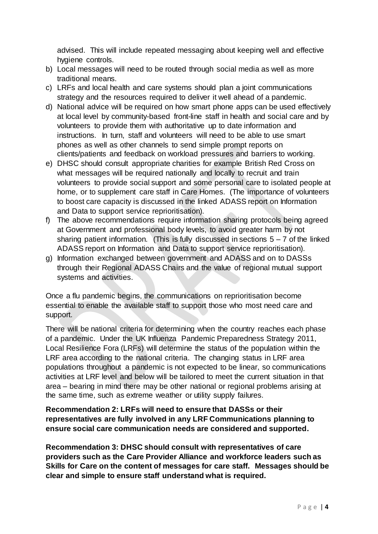advised. This will include repeated messaging about keeping well and effective hygiene controls.

- b) Local messages will need to be routed through social media as well as more traditional means.
- c) LRFs and local health and care systems should plan a joint communications strategy and the resources required to deliver it well ahead of a pandemic.
- d) National advice will be required on how smart phone apps can be used effectively at local level by community-based front-line staff in health and social care and by volunteers to provide them with authoritative up to date information and instructions. In turn, staff and volunteers will need to be able to use smart phones as well as other channels to send simple prompt reports on clients/patients and feedback on workload pressures and barriers to working.
- e) DHSC should consult appropriate charities for example British Red Cross on what messages will be required nationally and locally to recruit and train volunteers to provide social support and some personal care to isolated people at home, or to supplement care staff in Care Homes. (The importance of volunteers to boost care capacity is discussed in the linked ADASS report on Information and Data to support service reprioritisation).
- f) The above recommendations require information sharing protocols being agreed at Government and professional body levels, to avoid greater harm by not sharing patient information. (This is fully discussed in sections  $5 - 7$  of the linked ADASS report on Information and Data to support service reprioritisation).
- g) Information exchanged between government and ADASS and on to DASSs through their Regional ADASS Chairs and the value of regional mutual support systems and activities.

Once a flu pandemic begins, the communications on reprioritisation become essential to enable the available staff to support those who most need care and support.

There will be national criteria for determining when the country reaches each phase of a pandemic. Under the UK Influenza Pandemic Preparedness Strategy 2011, Local Resilience Fora (LRFs) will determine the status of the population within the LRF area according to the national criteria. The changing status in LRF area populations throughout a pandemic is not expected to be linear, so communications activities at LRF level and below will be tailored to meet the current situation in that area – bearing in mind there may be other national or regional problems arising at the same time, such as extreme weather or utility supply failures.

## **Recommendation 2: LRFs will need to ensure that DASSs or their representatives are fully involved in any LRF Communications planning to ensure social care communication needs are considered and supported.**

**Recommendation 3: DHSC should consult with representatives of care providers such as the Care Provider Alliance and workforce leaders such as Skills for Care on the content of messages for care staff. Messages should be clear and simple to ensure staff understand what is required.**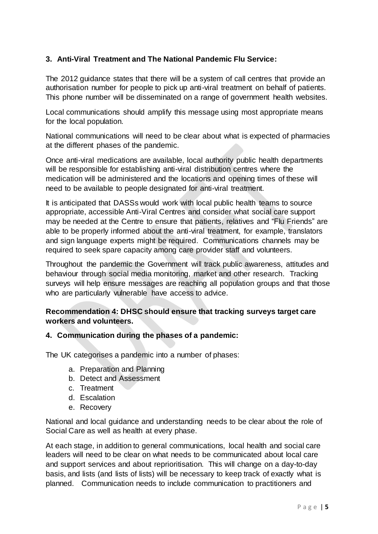# **3. Anti-Viral Treatment and The National Pandemic Flu Service:**

The 2012 guidance states that there will be a system of call centres that provide an authorisation number for people to pick up anti-viral treatment on behalf of patients. This phone number will be disseminated on a range of government health websites.

Local communications should amplify this message using most appropriate means for the local population.

National communications will need to be clear about what is expected of pharmacies at the different phases of the pandemic.

Once anti-viral medications are available, local authority public health departments will be responsible for establishing anti-viral distribution centres where the medication will be administered and the locations and opening times of these will need to be available to people designated for anti-viral treatment.

It is anticipated that DASSs would work with local public health teams to source appropriate, accessible Anti-Viral Centres and consider what social care support may be needed at the Centre to ensure that patients, relatives and "Flu Friends" are able to be properly informed about the anti-viral treatment, for example, translators and sign language experts might be required. Communications channels may be required to seek spare capacity among care provider staff and volunteers.

Throughout the pandemic the Government will track public awareness, attitudes and behaviour through social media monitoring, market and other research. Tracking surveys will help ensure messages are reaching all population groups and that those who are particularly vulnerable have access to advice.

## **Recommendation 4: DHSC should ensure that tracking surveys target care workers and volunteers.**

#### **4. Communication during the phases of a pandemic:**

The UK categorises a pandemic into a number of phases:

- a. Preparation and Planning
- b. Detect and Assessment
- c. Treatment
- d. Escalation
- e. Recovery

National and local guidance and understanding needs to be clear about the role of Social Care as well as health at every phase.

At each stage, in addition to general communications, local health and social care leaders will need to be clear on what needs to be communicated about local care and support services and about reprioritisation. This will change on a day-to-day basis, and lists (and lists of lists) will be necessary to keep track of exactly what is planned. Communication needs to include communication to practitioners and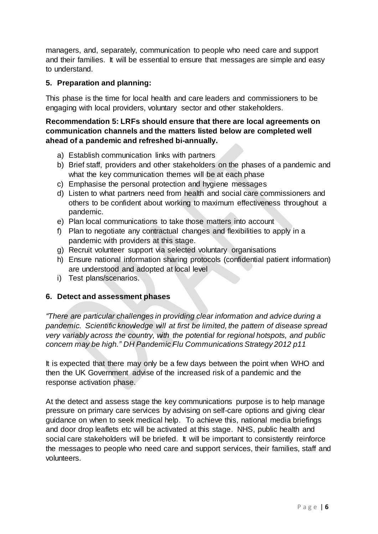managers, and, separately, communication to people who need care and support and their families. It will be essential to ensure that messages are simple and easy to understand.

# **5. Preparation and planning:**

This phase is the time for local health and care leaders and commissioners to be engaging with local providers, voluntary sector and other stakeholders.

## **Recommendation 5: LRFs should ensure that there are local agreements on communication channels and the matters listed below are completed well ahead of a pandemic and refreshed bi-annually.**

- a) Establish communication links with partners
- b) Brief staff, providers and other stakeholders on the phases of a pandemic and what the key communication themes will be at each phase
- c) Emphasise the personal protection and hygiene messages
- d) Listen to what partners need from health and social care commissioners and others to be confident about working to maximum effectiveness throughout a pandemic.
- e) Plan local communications to take those matters into account
- f) Plan to negotiate any contractual changes and flexibilities to apply in a pandemic with providers at this stage.
- g) Recruit volunteer support via selected voluntary organisations
- h) Ensure national information sharing protocols (confidential patient information) are understood and adopted at local level
- i) Test plans/scenarios.

#### **6. Detect and assessment phases**

*"There are particular challenges in providing clear information and advice during a pandemic. Scientific knowledge will at first be limited, the pattern of disease spread very variably across the country, with the potential for regional hotspots, and public concern may be high." DH Pandemic Flu Communications Strategy 2012 p11*

It is expected that there may only be a few days between the point when WHO and then the UK Government advise of the increased risk of a pandemic and the response activation phase.

At the detect and assess stage the key communications purpose is to help manage pressure on primary care services by advising on self-care options and giving clear guidance on when to seek medical help. To achieve this, national media briefings and door drop leaflets etc will be activated at this stage. NHS, public health and social care stakeholders will be briefed. It will be important to consistently reinforce the messages to people who need care and support services, their families, staff and volunteers.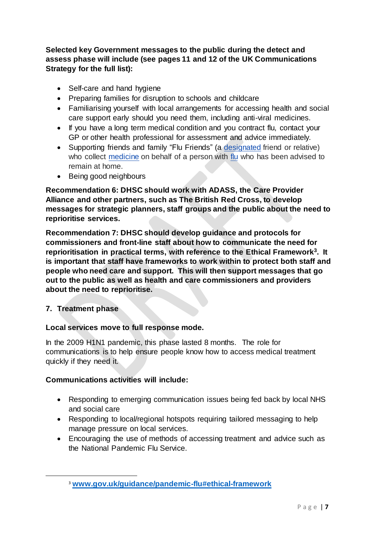**Selected key Government messages to the public during the detect and assess phase will include (see pages 11 and 12 of the UK Communications Strategy for the full list):**

- Self-care and hand hygiene
- Preparing families for disruption to schools and childcare
- Familiarising yourself with local arrangements for accessing health and social care support early should you need them, including anti-viral medicines.
- If you have a long term medical condition and you contract flu, contact your GP or other health professional for assessment and advice immediately.
- Supporting friends and family "Flu Friends" (a [designated](https://en.wiktionary.org/wiki/designated) friend or relative) who collect [medicine](https://en.wiktionary.org/wiki/medicine) on behalf of a person with [flu](https://en.wiktionary.org/wiki/flu) who has been advised to remain at home.
- Being good neighbours

**Recommendation 6: DHSC should work with ADASS, the Care Provider Alliance and other partners, such as The British Red Cross, to develop messages for strategic planners, staff groups and the public about the need to reprioritise services.** 

**Recommendation 7: DHSC should develop guidance and protocols for commissioners and front-line staff about how to communicate the need for reprioritisation in practical terms, with reference to the Ethical Framework<sup>3</sup> . It is important that staff have frameworks to work within to protect both staff and people who need care and support. This will then support messages that go out to the public as well as health and care commissioners and providers about the need to reprioritise.**

**7. Treatment phase**

 $\overline{a}$ 

# **Local services move to full response mode.**

In the 2009 H1N1 pandemic, this phase lasted 8 months. The role for communications is to help ensure people know how to access medical treatment quickly if they need it.

# **Communications activities will include:**

- Responding to emerging communication issues being fed back by local NHS and social care
- Responding to local/regional hotspots requiring tailored messaging to help manage pressure on local services.
- Encouraging the use of methods of accessing treatment and advice such as the National Pandemic Flu Service.

<sup>3</sup> **[www.gov.uk/guidance/pandemic-flu#ethical-framework](http://www.gov.uk/guidance/pandemic-flu#ethical-framework)**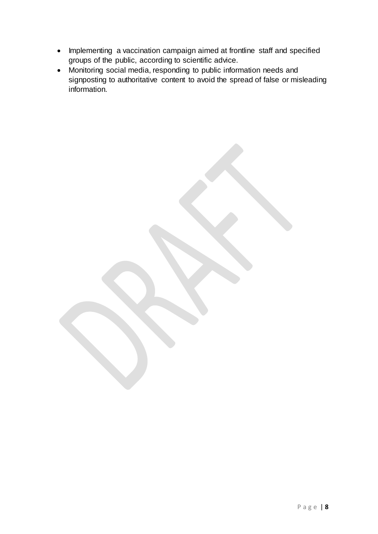- Implementing a vaccination campaign aimed at frontline staff and specified groups of the public, according to scientific advice.
- Monitoring social media, responding to public information needs and signposting to authoritative content to avoid the spread of false or misleading information.

P a g e | **8**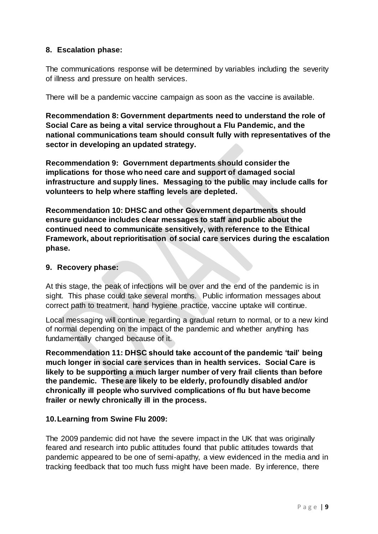## **8. Escalation phase:**

The communications response will be determined by variables including the severity of illness and pressure on health services.

There will be a pandemic vaccine campaign as soon as the vaccine is available.

**Recommendation 8: Government departments need to understand the role of Social Care as being a vital service throughout a Flu Pandemic, and the national communications team should consult fully with representatives of the sector in developing an updated strategy.**

**Recommendation 9: Government departments should consider the implications for those who need care and support of damaged social infrastructure and supply lines. Messaging to the public may include calls for volunteers to help where staffing levels are depleted.**

**Recommendation 10: DHSC and other Government departments should ensure guidance includes clear messages to staff and public about the continued need to communicate sensitively, with reference to the Ethical Framework, about reprioritisation of social care services during the escalation phase.**

#### **9. Recovery phase:**

At this stage, the peak of infections will be over and the end of the pandemic is in sight. This phase could take several months. Public information messages about correct path to treatment, hand hygiene practice, vaccine uptake will continue.

Local messaging will continue regarding a gradual return to normal, or to a new kind of normal depending on the impact of the pandemic and whether anything has fundamentally changed because of it.

**Recommendation 11: DHSC should take account of the pandemic 'tail' being much longer in social care services than in health services. Social Care is likely to be supporting a much larger number of very frail clients than before the pandemic. These are likely to be elderly, profoundly disabled and/or chronically ill people who survived complications of flu but have become frailer or newly chronically ill in the process.**

#### **10.Learning from Swine Flu 2009:**

The 2009 pandemic did not have the severe impact in the UK that was originally feared and research into public attitudes found that public attitudes towards that pandemic appeared to be one of semi-apathy, a view evidenced in the media and in tracking feedback that too much fuss might have been made. By inference, there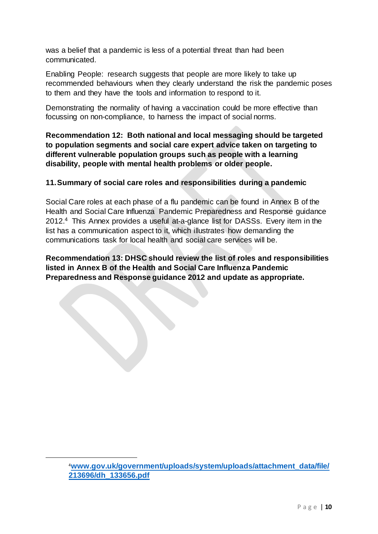was a belief that a pandemic is less of a potential threat than had been communicated.

Enabling People: research suggests that people are more likely to take up recommended behaviours when they clearly understand the risk the pandemic poses to them and they have the tools and information to respond to it.

Demonstrating the normality of having a vaccination could be more effective than focussing on non-compliance, to harness the impact of social norms.

**Recommendation 12: Both national and local messaging should be targeted to population segments and social care expert advice taken on targeting to different vulnerable population groups such as people with a learning disability, people with mental health problems or older people.**

# **11.Summary of social care roles and responsibilities during a pandemic**

Social Care roles at each phase of a flu pandemic can be found in Annex B of the Health and Social Care Influenza Pandemic Preparedness and Response guidance 2012.<sup>4</sup> This Annex provides a useful at-a-glance list for DASSs. Every item in the list has a communication aspect to it, which illustrates how demanding the communications task for local health and social care services will be.

**Recommendation 13: DHSC should review the list of roles and responsibilities listed in Annex B of the Health and Social Care Influenza Pandemic Preparedness and Response guidance 2012 and update as appropriate.**

 $\overline{a}$ 

<sup>4</sup>**[www.gov.uk/government/uploads/system/uploads/attachment\\_data/file/](http://www.gov.uk/government/uploads/system/uploads/attachment_data/file/213696/dh_133656.pdf) [213696/dh\\_133656.pdf](http://www.gov.uk/government/uploads/system/uploads/attachment_data/file/213696/dh_133656.pdf)**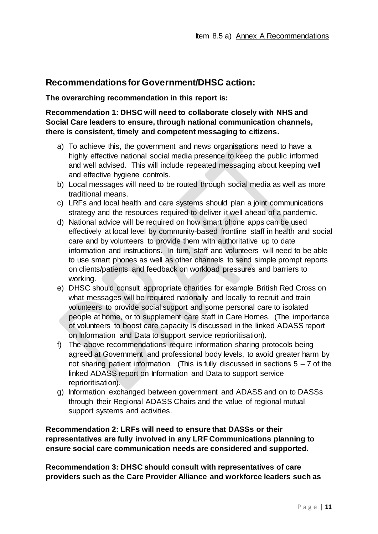# **Recommendations for Government/DHSC action:**

#### **The overarching recommendation in this report is:**

## **Recommendation 1: DHSC will need to collaborate closely with NHS and Social Care leaders to ensure, through national communication channels, there is consistent, timely and competent messaging to citizens.**

- a) To achieve this, the government and news organisations need to have a highly effective national social media presence to keep the public informed and well advised. This will include repeated messaging about keeping well and effective hygiene controls.
- b) Local messages will need to be routed through social media as well as more traditional means.
- c) LRFs and local health and care systems should plan a joint communications strategy and the resources required to deliver it well ahead of a pandemic.
- d) National advice will be required on how smart phone apps can be used effectively at local level by community-based frontline staff in health and social care and by volunteers to provide them with authoritative up to date information and instructions. In turn, staff and volunteers will need to be able to use smart phones as well as other channels to send simple prompt reports on clients/patients and feedback on workload pressures and barriers to working.
- e) DHSC should consult appropriate charities for example British Red Cross on what messages will be required nationally and locally to recruit and train volunteers to provide social support and some personal care to isolated people at home, or to supplement care staff in Care Homes. (The importance of volunteers to boost care capacity is discussed in the linked ADASS report on Information and Data to support service reprioritisation).
- f) The above recommendations require information sharing protocols being agreed at Government and professional body levels, to avoid greater harm by not sharing patient information. (This is fully discussed in sections  $5 - 7$  of the linked ADASS report on Information and Data to support service reprioritisation).
- g) Information exchanged between government and ADASS and on to DASSs through their Regional ADASS Chairs and the value of regional mutual support systems and activities.

**Recommendation 2: LRFs will need to ensure that DASSs or their representatives are fully involved in any LRF Communications planning to ensure social care communication needs are considered and supported.**

**Recommendation 3: DHSC should consult with representatives of care providers such as the Care Provider Alliance and workforce leaders such as**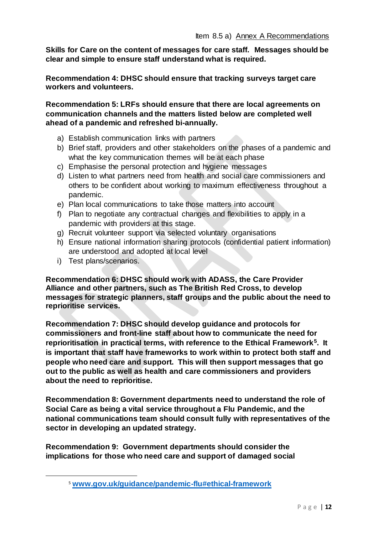**Skills for Care on the content of messages for care staff. Messages should be clear and simple to ensure staff understand what is required.** 

**Recommendation 4: DHSC should ensure that tracking surveys target care workers and volunteers.**

**Recommendation 5: LRFs should ensure that there are local agreements on communication channels and the matters listed below are completed well ahead of a pandemic and refreshed bi-annually.**

- a) Establish communication links with partners
- b) Brief staff, providers and other stakeholders on the phases of a pandemic and what the key communication themes will be at each phase
- c) Emphasise the personal protection and hygiene messages
- d) Listen to what partners need from health and social care commissioners and others to be confident about working to maximum effectiveness throughout a pandemic.
- e) Plan local communications to take those matters into account
- f) Plan to negotiate any contractual changes and flexibilities to apply in a pandemic with providers at this stage.
- g) Recruit volunteer support via selected voluntary organisations
- h) Ensure national information sharing protocols (confidential patient information) are understood and adopted at local level
- i) Test plans/scenarios.

 $\overline{a}$ 

**Recommendation 6: DHSC should work with ADASS, the Care Provider Alliance and other partners, such as The British Red Cross, to develop messages for strategic planners, staff groups and the public about the need to reprioritise services.** 

**Recommendation 7: DHSC should develop guidance and protocols for commissioners and front-line staff about how to communicate the need for reprioritisation in practical terms, with reference to the Ethical Framework<sup>5</sup> . It is important that staff have frameworks to work within to protect both staff and people who need care and support. This will then support messages that go out to the public as well as health and care commissioners and providers about the need to reprioritise.**

**Recommendation 8: Government departments need to understand the role of Social Care as being a vital service throughout a Flu Pandemic, and the national communications team should consult fully with representatives of the sector in developing an updated strategy.**

**Recommendation 9: Government departments should consider the implications for those who need care and support of damaged social** 

<sup>5</sup> **[www.gov.uk/guidance/pandemic-flu#ethical-framework](http://www.gov.uk/guidance/pandemic-flu#ethical-framework)**